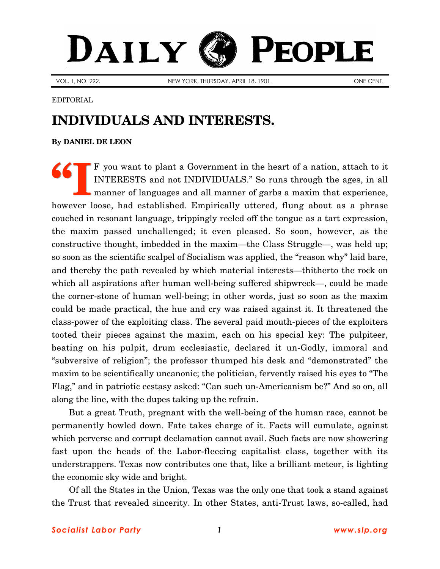## DAILY PEOPLE

VOL. 1, NO. 292. NEW YORK, THURSDAY, APRIL 18, 1901. ONE CENT.

EDITORIAL

## **INDIVIDUALS AND INTERESTS.**

**By [DANIEL DE LEON](http://www.slp.org/De_Leon.htm)**

F you want to plant a Government in the heart of a nation, attach to it INTERESTS and not INDIVIDUALS." So runs through the ages, in all manner of languages and all manner of garbs a maxim that experience, however loose, had established. Empirically uttered, flung about as a phrase couched in resonant language, trippingly reeled off the tongue as a tart expression, the maxim passed unchallenged; it even pleased. So soon, however, as the constructive thought, imbedded in the maxim—the Class Struggle—, was held up; so soon as the scientific scalpel of Socialism was applied, the "reason why" laid bare, and thereby the path revealed by which material interests—thitherto the rock on which all aspirations after human well-being suffered shipwreck—, could be made the corner-stone of human well-being; in other words, just so soon as the maxim could be made practical, the hue and cry was raised against it. It threatened the class-power of the exploiting class. The several paid mouth-pieces of the exploiters tooted their pieces against the maxim, each on his special key: The pulpiteer, beating on his pulpit, drum ecclesiastic, declared it un-Godly, immoral and "subversive of religion"; the professor thumped his desk and "demonstrated" the maxim to be scientifically uncanonic; the politician, fervently raised his eyes to "The Flag," and in patriotic ecstasy asked: "Can such un-Americanism be?" And so on, all along the line, with the dupes taking up the refrain. **"I**

But a great Truth, pregnant with the well-being of the human race, cannot be permanently howled down. Fate takes charge of it. Facts will cumulate, against which perverse and corrupt declamation cannot avail. Such facts are now showering fast upon the heads of the Labor-fleecing capitalist class, together with its understrappers. Texas now contributes one that, like a brilliant meteor, is lighting the economic sky wide and bright.

Of all the States in the Union, Texas was the only one that took a stand against the Trust that revealed sincerity. In other States, anti-Trust laws, so-called, had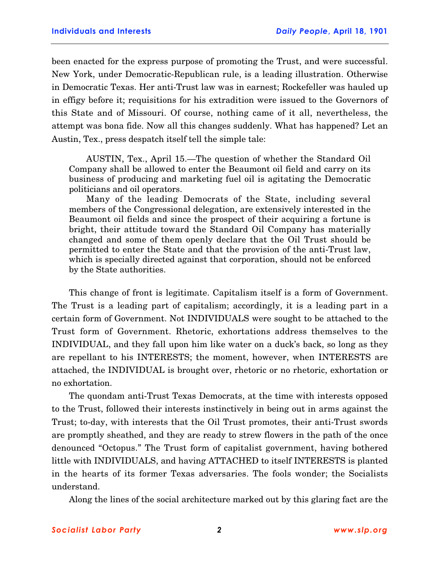been enacted for the express purpose of promoting the Trust, and were successful. New York, under Democratic-Republican rule, is a leading illustration. Otherwise in Democratic Texas. Her anti-Trust law was in earnest; Rockefeller was hauled up in effigy before it; requisitions for his extradition were issued to the Governors of this State and of Missouri. Of course, nothing came of it all, nevertheless, the attempt was bona fide. Now all this changes suddenly. What has happened? Let an Austin, Tex., press despatch itself tell the simple tale:

AUSTIN, Tex., April 15.—The question of whether the Standard Oil Company shall be allowed to enter the Beaumont oil field and carry on its business of producing and marketing fuel oil is agitating the Democratic politicians and oil operators.

Many of the leading Democrats of the State, including several members of the Congressional delegation, are extensively interested in the Beaumont oil fields and since the prospect of their acquiring a fortune is bright, their attitude toward the Standard Oil Company has materially changed and some of them openly declare that the Oil Trust should be permitted to enter the State and that the provision of the anti-Trust law, which is specially directed against that corporation, should not be enforced by the State authorities.

This change of front is legitimate. Capitalism itself is a form of Government. The Trust is a leading part of capitalism; accordingly, it is a leading part in a certain form of Government. Not INDIVIDUALS were sought to be attached to the Trust form of Government. Rhetoric, exhortations address themselves to the INDIVIDUAL, and they fall upon him like water on a duck's back, so long as they are repellant to his INTERESTS; the moment, however, when INTERESTS are attached, the INDIVIDUAL is brought over, rhetoric or no rhetoric, exhortation or no exhortation.

The quondam anti-Trust Texas Democrats, at the time with interests opposed to the Trust, followed their interests instinctively in being out in arms against the Trust; to-day, with interests that the Oil Trust promotes, their anti-Trust swords are promptly sheathed, and they are ready to strew flowers in the path of the once denounced "Octopus." The Trust form of capitalist government, having bothered little with INDIVIDUALS, and having ATTACHED to itself INTERESTS is planted in the hearts of its former Texas adversaries. The fools wonder; the Socialists understand.

Along the lines of the social architecture marked out by this glaring fact are the